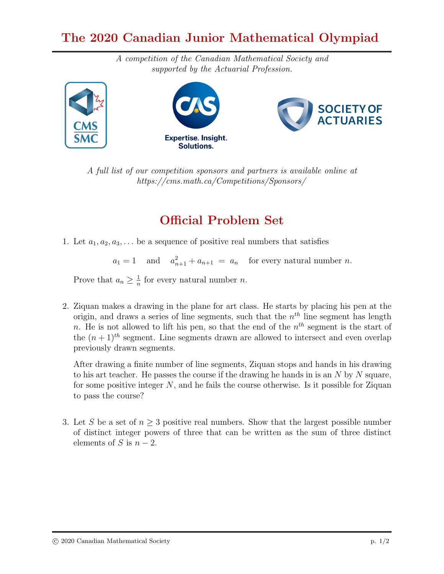## The 2020 Canadian Junior Mathematical Olympiad

A competition of the Canadian Mathematical Society and supported by the Actuarial Profession.







A full list of our competition sponsors and partners is available online at https://cms.math.ca/Competitions/Sponsors/

## Official Problem Set

1. Let  $a_1, a_2, a_3, \ldots$  be a sequence of positive real numbers that satisfies

 $a_1 = 1$  and  $a_{n+1}^2 + a_{n+1} = a_n$  for every natural number *n*.

Prove that  $a_n \geq \frac{1}{n}$  $\frac{1}{n}$  for every natural number *n*.

2. Ziquan makes a drawing in the plane for art class. He starts by placing his pen at the origin, and draws a series of line segments, such that the  $n<sup>th</sup>$  line segment has length n. He is not allowed to lift his pen, so that the end of the  $n<sup>th</sup>$  segment is the start of the  $(n+1)^{th}$  segment. Line segments drawn are allowed to intersect and even overlap previously drawn segments.

After drawing a finite number of line segments, Ziquan stops and hands in his drawing to his art teacher. He passes the course if the drawing he hands in is an  $N$  by  $N$  square, for some positive integer  $N$ , and he fails the course otherwise. Is it possible for Ziquan to pass the course?

3. Let S be a set of  $n \geq 3$  positive real numbers. Show that the largest possible number of distinct integer powers of three that can be written as the sum of three distinct elements of S is  $n-2$ .